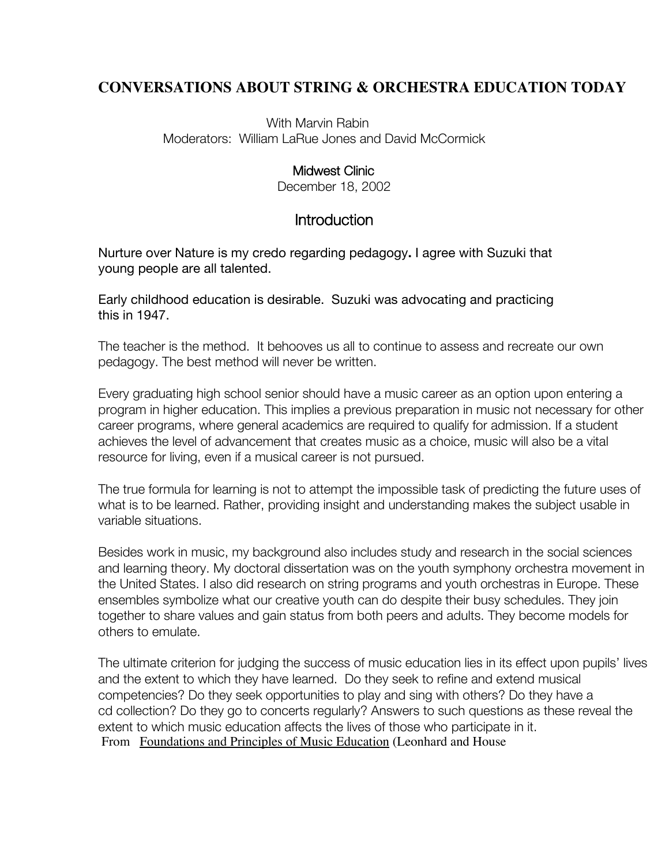#### **CONVERSATIONS ABOUT STRING & ORCHESTRA EDUCATION TODAY**

 With Marvin Rabin Moderators: William LaRue Jones and David McCormick

#### Midwest Clinic

December 18, 2002

#### Introduction

Nurture over Nature is my credo regarding pedagogy**.** I agree with Suzuki that young people are all talented.

Early childhood education is desirable. Suzuki was advocating and practicing this in 1947.

The teacher is the method. It behooves us all to continue to assess and recreate our own pedagogy. The best method will never be written.

Every graduating high school senior should have a music career as an option upon entering a program in higher education. This implies a previous preparation in music not necessary for other career programs, where general academics are required to qualify for admission. If a student achieves the level of advancement that creates music as a choice, music will also be a vital resource for living, even if a musical career is not pursued.

The true formula for learning is not to attempt the impossible task of predicting the future uses of what is to be learned. Rather, providing insight and understanding makes the subject usable in variable situations.

Besides work in music, my background also includes study and research in the social sciences and learning theory. My doctoral dissertation was on the youth symphony orchestra movement in the United States. I also did research on string programs and youth orchestras in Europe. These ensembles symbolize what our creative youth can do despite their busy schedules. They join together to share values and gain status from both peers and adults. They become models for others to emulate.

The ultimate criterion for judging the success of music education lies in its effect upon pupils' lives and the extent to which they have learned. Do they seek to refine and extend musical competencies? Do they seek opportunities to play and sing with others? Do they have a cd collection? Do they go to concerts regularly? Answers to such questions as these reveal the extent to which music education affects the lives of those who participate in it. From Foundations and Principles of Music Education (Leonhard and House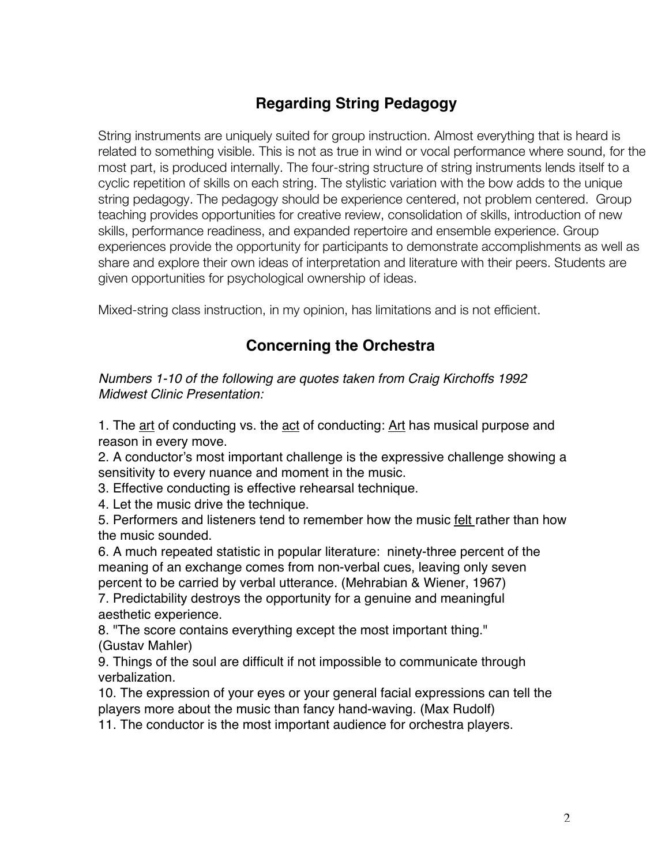## **Regarding String Pedagogy**

String instruments are uniquely suited for group instruction. Almost everything that is heard is related to something visible. This is not as true in wind or vocal performance where sound, for the most part, is produced internally. The four-string structure of string instruments lends itself to a cyclic repetition of skills on each string. The stylistic variation with the bow adds to the unique string pedagogy. The pedagogy should be experience centered, not problem centered. Group teaching provides opportunities for creative review, consolidation of skills, introduction of new skills, performance readiness, and expanded repertoire and ensemble experience. Group experiences provide the opportunity for participants to demonstrate accomplishments as well as share and explore their own ideas of interpretation and literature with their peers. Students are given opportunities for psychological ownership of ideas.

Mixed-string class instruction, in my opinion, has limitations and is not efficient.

### **Concerning the Orchestra**

Numbers 1-10 of the following are quotes taken from Craig Kirchoffs 1992 Midwest Clinic Presentation:

1. The art of conducting vs. the act of conducting: Art has musical purpose and reason in every move.

2. A conductor's most important challenge is the expressive challenge showing a sensitivity to every nuance and moment in the music.

3. Effective conducting is effective rehearsal technique.

4. Let the music drive the technique.

5. Performers and listeners tend to remember how the music felt rather than how the music sounded.

6. A much repeated statistic in popular literature: ninety-three percent of the meaning of an exchange comes from non-verbal cues, leaving only seven percent to be carried by verbal utterance. (Mehrabian & Wiener, 1967) 7. Predictability destroys the opportunity for a genuine and meaningful aesthetic experience.

8. "The score contains everything except the most important thing." (Gustav Mahler)

9. Things of the soul are difficult if not impossible to communicate through verbalization.

10. The expression of your eyes or your general facial expressions can tell the players more about the music than fancy hand-waving. (Max Rudolf)

11. The conductor is the most important audience for orchestra players.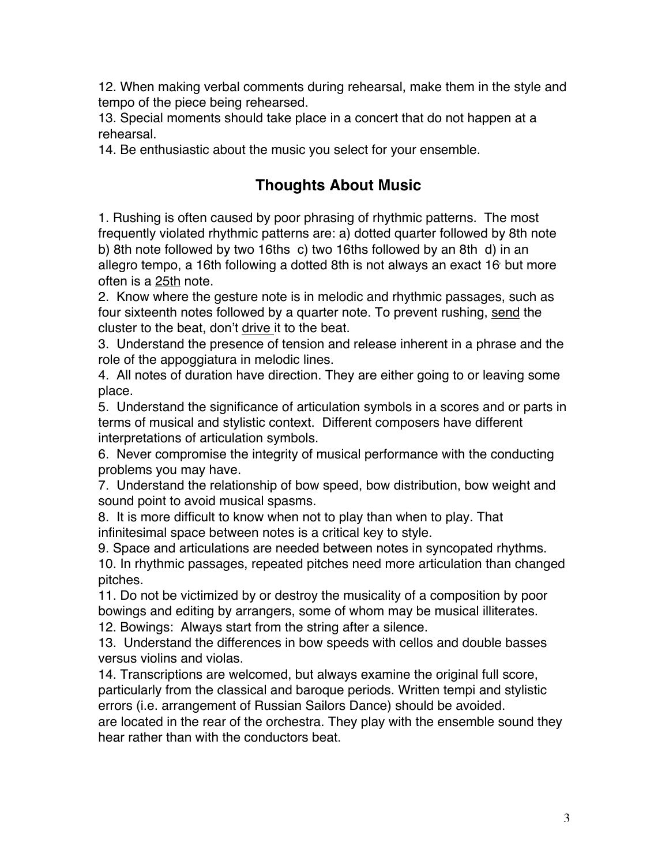12. When making verbal comments during rehearsal, make them in the style and tempo of the piece being rehearsed.

13. Special moments should take place in a concert that do not happen at a rehearsal.

14. Be enthusiastic about the music you select for your ensemble.

### **Thoughts About Music**

1. Rushing is often caused by poor phrasing of rhythmic patterns. The most frequently violated rhythmic patterns are: a) dotted quarter followed by 8th note b) 8th note followed by two 16ths c) two 16ths followed by an 8th d) in an allegro tempo, a 16th following a dotted 8th is not always an exact 16 but more often is a 25th note.

2. Know where the gesture note is in melodic and rhythmic passages, such as four sixteenth notes followed by a quarter note. To prevent rushing, send the cluster to the beat, don't drive it to the beat.

3. Understand the presence of tension and release inherent in a phrase and the role of the appoggiatura in melodic lines.

4. All notes of duration have direction. They are either going to or leaving some place.

5. Understand the significance of articulation symbols in a scores and or parts in terms of musical and stylistic context. Different composers have different interpretations of articulation symbols.

6. Never compromise the integrity of musical performance with the conducting problems you may have.

7. Understand the relationship of bow speed, bow distribution, bow weight and sound point to avoid musical spasms.

8. It is more difficult to know when not to play than when to play. That infinitesimal space between notes is a critical key to style.

9. Space and articulations are needed between notes in syncopated rhythms. 10. In rhythmic passages, repeated pitches need more articulation than changed pitches.

11. Do not be victimized by or destroy the musicality of a composition by poor bowings and editing by arrangers, some of whom may be musical illiterates. 12. Bowings: Always start from the string after a silence.

13. Understand the differences in bow speeds with cellos and double basses versus violins and violas.

14. Transcriptions are welcomed, but always examine the original full score, particularly from the classical and baroque periods. Written tempi and stylistic errors (i.e. arrangement of Russian Sailors Dance) should be avoided.

are located in the rear of the orchestra. They play with the ensemble sound they hear rather than with the conductors beat.